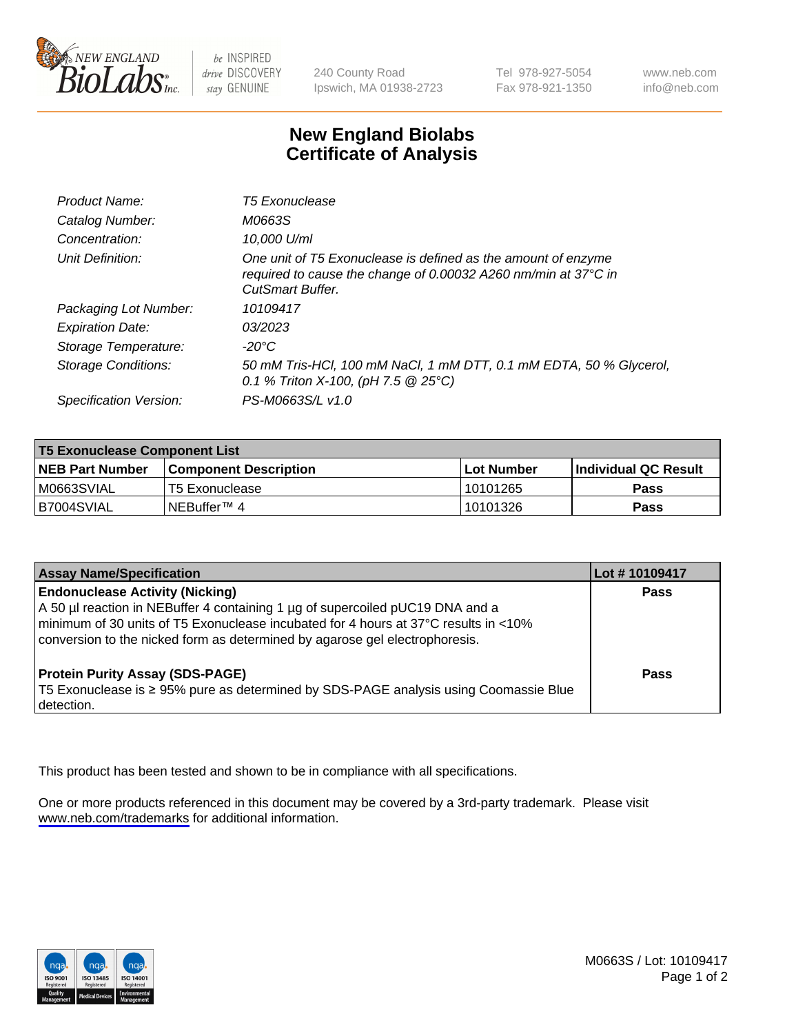

be INSPIRED drive DISCOVERY stay GENUINE

240 County Road Ipswich, MA 01938-2723 Tel 978-927-5054 Fax 978-921-1350

www.neb.com info@neb.com

## **New England Biolabs Certificate of Analysis**

| Product Name:              | <b>T5 Exonuclease</b>                                                                                                                                      |
|----------------------------|------------------------------------------------------------------------------------------------------------------------------------------------------------|
| Catalog Number:            | M0663S                                                                                                                                                     |
| Concentration:             | 10,000 U/ml                                                                                                                                                |
| Unit Definition:           | One unit of T5 Exonuclease is defined as the amount of enzyme<br>required to cause the change of 0.00032 A260 nm/min at 37°C in<br><b>CutSmart Buffer.</b> |
| Packaging Lot Number:      | 10109417                                                                                                                                                   |
| <b>Expiration Date:</b>    | 03/2023                                                                                                                                                    |
| Storage Temperature:       | -20°C                                                                                                                                                      |
| <b>Storage Conditions:</b> | 50 mM Tris-HCl, 100 mM NaCl, 1 mM DTT, 0.1 mM EDTA, 50 % Glycerol,<br>0.1 % Triton X-100, (pH 7.5 $@25°C$ )                                                |
| Specification Version:     | PS-M0663S/L v1.0                                                                                                                                           |

| <b>T5 Exonuclease Component List</b> |                         |             |                             |  |
|--------------------------------------|-------------------------|-------------|-----------------------------|--|
| <b>NEB Part Number</b>               | l Component Description | ⊺Lot Number | <b>Individual QC Result</b> |  |
| IM0663SVIAL                          | T5 Exonuclease          | 10101265    | <b>Pass</b>                 |  |
| IB7004SVIAL                          | l NEBuffer™ 4∶          | 10101326    | <b>Pass</b>                 |  |

| <b>Assay Name/Specification</b>                                                                                                                                                                                                                                                               | Lot # 10109417 |
|-----------------------------------------------------------------------------------------------------------------------------------------------------------------------------------------------------------------------------------------------------------------------------------------------|----------------|
| <b>Endonuclease Activity (Nicking)</b><br>A 50 µl reaction in NEBuffer 4 containing 1 µg of supercoiled pUC19 DNA and a<br>minimum of 30 units of T5 Exonuclease incubated for 4 hours at 37°C results in <10%<br>conversion to the nicked form as determined by agarose gel electrophoresis. | <b>Pass</b>    |
| <b>Protein Purity Assay (SDS-PAGE)</b><br>T5 Exonuclease is ≥ 95% pure as determined by SDS-PAGE analysis using Coomassie Blue<br>detection.                                                                                                                                                  | Pass           |

This product has been tested and shown to be in compliance with all specifications.

One or more products referenced in this document may be covered by a 3rd-party trademark. Please visit <www.neb.com/trademarks>for additional information.